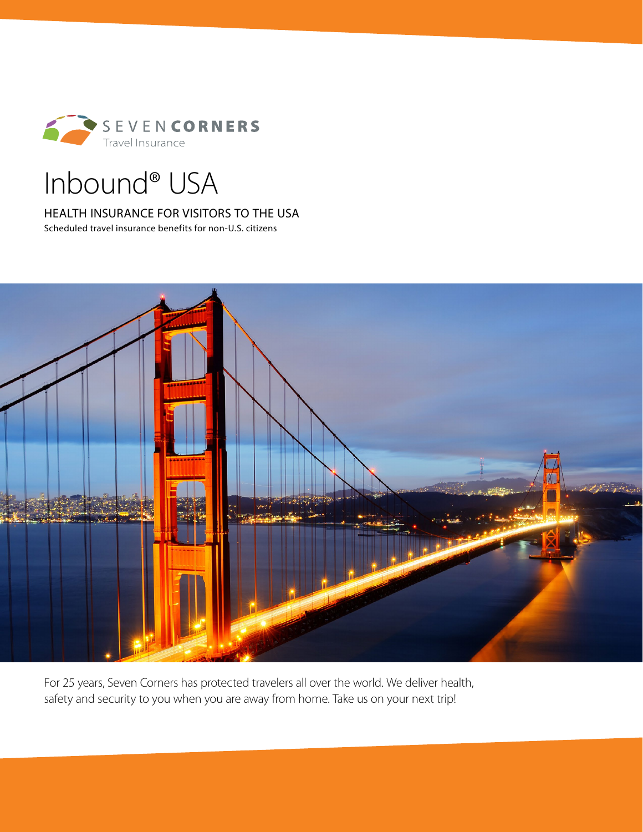

# Inbound® USA

HEALTH INSURANCE FOR VISITORS TO THE USA

Scheduled travel insurance benefits for non-U.S. citizens



For 25 years, Seven Corners has protected travelers all over the world. We deliver health, safety and security to you when you are away from home. Take us on your next trip!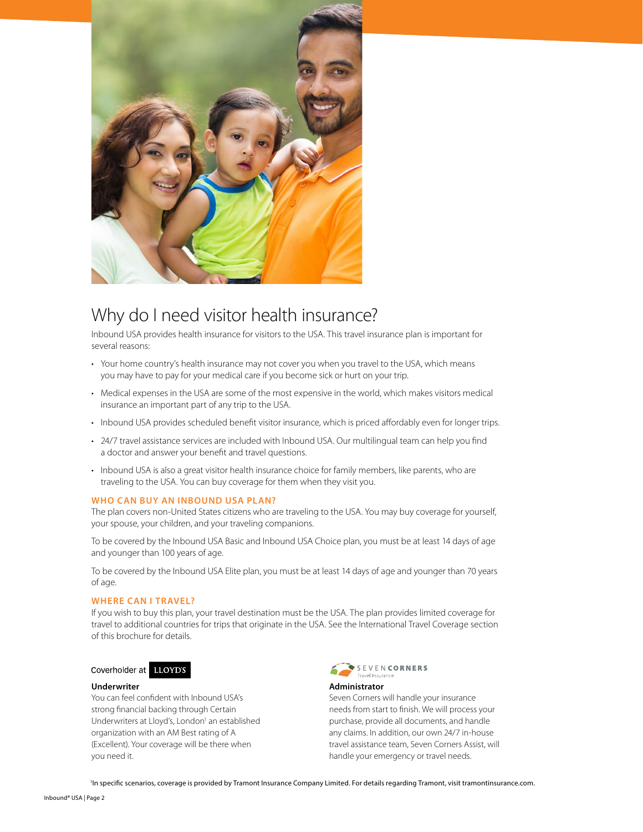

# Why do I need visitor health insurance?

Inbound USA provides health insurance for visitors to the USA. This travel insurance plan is important for several reasons:

- Your home country's health insurance may not cover you when you travel to the USA, which means you may have to pay for your medical care if you become sick or hurt on your trip.
- Medical expenses in the USA are some of the most expensive in the world, which makes visitors medical insurance an important part of any trip to the USA.
- Inbound USA provides scheduled benefit visitor insurance, which is priced affordably even for longer trips.
- 24/7 travel assistance services are included with Inbound USA. Our multilingual team can help you find a doctor and answer your benefit and travel questions.
- Inbound USA is also a great visitor health insurance choice for family members, like parents, who are traveling to the USA. You can buy coverage for them when they visit you.

#### **WHO CAN BUY AN INBOUND USA PLAN?**

The plan covers non-United States citizens who are traveling to the USA. You may buy coverage for yourself, your spouse, your children, and your traveling companions.

To be covered by the Inbound USA Basic and Inbound USA Choice plan, you must be at least 14 days of age and younger than 100 years of age.

To be covered by the Inbound USA Elite plan, you must be at least 14 days of age and younger than 70 years of age.

#### **WHERE CAN I TRAVEL?**

If you wish to buy this plan, your travel destination must be the USA. The plan provides limited coverage for travel to additional countries for trips that originate in the USA. See the International Travel Coverage section of this brochure for details.

#### Coverholder at LLOYD'S

#### **Underwriter**

You can feel confident with Inbound USA's strong financial backing through Certain Underwriters at Lloyd's, London<sup>1</sup> an established organization with an AM Best rating of A (Excellent). Your coverage will be there when you need it.



#### **Administrator**

Seven Corners will handle your insurance needs from start to finish. We will process your purchase, provide all documents, and handle any claims. In addition, our own 24/7 in-house travel assistance team, Seven Corners Assist, will handle your emergency or travel needs.

<sup>1</sup>In specific scenarios, coverage is provided by Tramont Insurance Company Limited. For details regarding Tramont, visit tramontinsurance.com.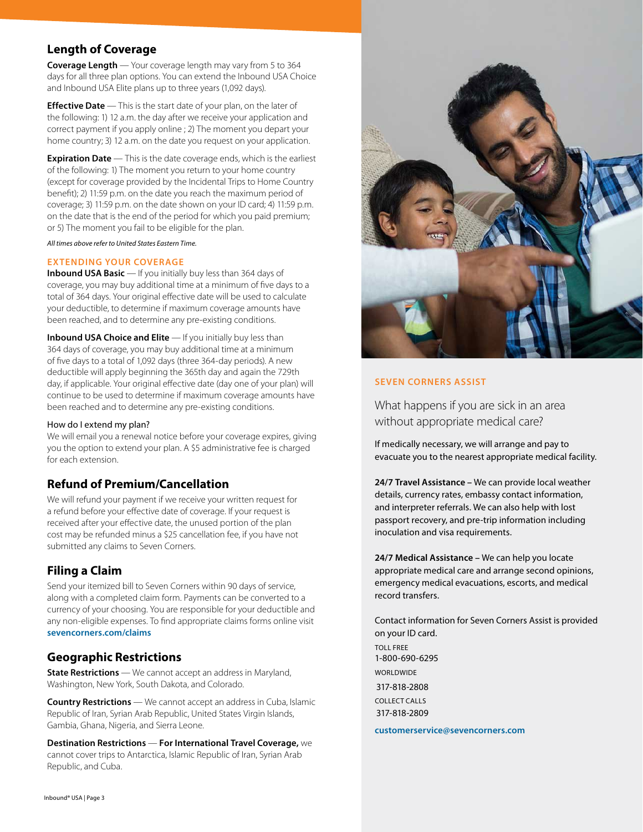# **Length of Coverage**

**Coverage Length** — Your coverage length may vary from 5 to 364 days for all three plan options. You can extend the Inbound USA Choice and Inbound USA Elite plans up to three years (1,092 days).

**Effective Date** — This is the start date of your plan, on the later of the following: 1) 12 a.m. the day after we receive your application and correct payment if you apply online ; 2) The moment you depart your home country; 3) 12 a.m. on the date you request on your application.

**Expiration Date** — This is the date coverage ends, which is the earliest of the following: 1) The moment you return to your home country (except for coverage provided by the Incidental Trips to Home Country benefit); 2) 11:59 p.m. on the date you reach the maximum period of coverage; 3) 11:59 p.m. on the date shown on your ID card; 4) 11:59 p.m. on the date that is the end of the period for which you paid premium; or 5) The moment you fail to be eligible for the plan.

*All times above refer to United States Eastern Time.* 

#### **EXTENDING YOUR COVERAGE**

**Inbound USA Basic** — If you initially buy less than 364 days of coverage, you may buy additional time at a minimum of five days to a total of 364 days. Your original effective date will be used to calculate your deductible, to determine if maximum coverage amounts have been reached, and to determine any pre-existing conditions.

**Inbound USA Choice and Elite** - If you initially buy less than 364 days of coverage, you may buy additional time at a minimum of five days to a total of 1,092 days (three 364-day periods). A new deductible will apply beginning the 365th day and again the 729th day, if applicable. Your original effective date (day one of your plan) will continue to be used to determine if maximum coverage amounts have been reached and to determine any pre-existing conditions.

#### How do I extend my plan?

We will email you a renewal notice before your coverage expires, giving you the option to extend your plan. A \$5 administrative fee is charged for each extension.

# **Refund of Premium/Cancellation**

We will refund your payment if we receive your written request for a refund before your effective date of coverage. If your request is received after your effective date, the unused portion of the plan cost may be refunded minus a \$25 cancellation fee, if you have not submitted any claims to Seven Corners.

# **Filing a Claim**

Send your itemized bill to Seven Corners within 90 days of service, along with a completed claim form. Payments can be converted to a currency of your choosing. You are responsible for your deductible and any non-eligible expenses. To find appropriate claims forms online visit **sevencorners.com/claims**

# **Geographic Restrictions**

**State Restrictions** — We cannot accept an address in Maryland, Washington, New York, South Dakota, and Colorado.

**Country Restrictions** — We cannot accept an address in Cuba, Islamic Republic of Iran, Syrian Arab Republic, United States Virgin Islands, Gambia, Ghana, Nigeria, and Sierra Leone.

**Destination Restrictions** — **For International Travel Coverage,** we cannot cover trips to Antarctica, Islamic Republic of Iran, Syrian Arab Republic, and Cuba.



### **SEVEN CORNERS ASSIST**

What happens if you are sick in an area without appropriate medical care?

If medically necessary, we will arrange and pay to evacuate you to the nearest appropriate medical facility.

**24/7 Travel Assistance –** We can provide local weather details, currency rates, embassy contact information, and interpreter referrals. We can also help with lost passport recovery, and pre-trip information including inoculation and visa requirements.

**24/7 Medical Assistance –** We can help you locate appropriate medical care and arrange second opinions, emergency medical evacuations, escorts, and medical record transfers.

Contact information for Seven Corners Assist is provided on your ID card. TOLL FREE 1-800-690-6295 **WORLDWIDE** 317-818-2808 COLLECT CALLS 317-818-2809

**customerservice@sevencorners.com**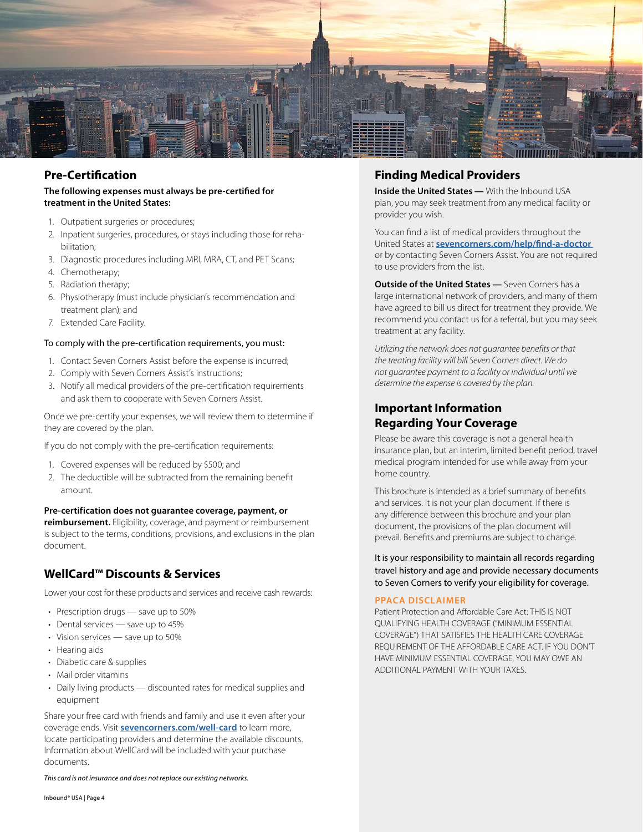

# **Pre-Certification**

#### **The following expenses must always be pre-certified for treatment in the United States:**

- 1. Outpatient surgeries or procedures;
- 2. Inpatient surgeries, procedures, or stays including those for rehabilitation;
- 3. Diagnostic procedures including MRI, MRA, CT, and PET Scans;
- 4. Chemotherapy;
- 5. Radiation therapy;
- 6. Physiotherapy (must include physician's recommendation and treatment plan); and
- 7. Extended Care Facility.

#### To comply with the pre-certification requirements, you must:

- 1. Contact Seven Corners Assist before the expense is incurred;
- 2. Comply with Seven Corners Assist's instructions;
- 3. Notify all medical providers of the pre-certification requirements and ask them to cooperate with Seven Corners Assist.

Once we pre-certify your expenses, we will review them to determine if they are covered by the plan.

If you do not comply with the pre-certification requirements:

- 1. Covered expenses will be reduced by \$500; and
- 2. The deductible will be subtracted from the remaining benefit amount.

#### **Pre-certification does not guarantee coverage, payment, or**

**reimbursement.** Eligibility, coverage, and payment or reimbursement is subject to the terms, conditions, provisions, and exclusions in the plan document.

# **WellCard™ Discounts & Services**

Lower your cost for these products and services and receive cash rewards:

- Prescription drugs save up to 50%
- Dental services save up to 45%
- Vision services save up to 50%
- Hearing aids
- Diabetic care & supplies
- Mail order vitamins
- Daily living products discounted rates for medical supplies and equipment

Share your free card with friends and family and use it even after your coverage ends. Visit **sevencorners.com/well-card** to learn more, locate participating providers and determine the available discounts. Information about WellCard will be included with your purchase documents.

*This card is not insurance and does not replace our existing networks.*

# **Finding Medical Providers**

**Inside the United States —** With the Inbound USA plan, you may seek treatment from any medical facility or provider you wish.

You can find a list of medical providers throughout the United States at **sevencorners.com/help/find-a-doctor** or by contacting Seven Corners Assist. You are not required to use providers from the list.

**Outside of the United States —** Seven Corners has a large international network of providers, and many of them have agreed to bill us direct for treatment they provide. We recommend you contact us for a referral, but you may seek treatment at any facility.

*Utilizing the network does not guarantee benefits or that the treating facility will bill Seven Corners direct. We do not guarantee payment to a facility or individual until we determine the expense is covered by the plan.* 

# **Important Information Regarding Your Coverage**

Please be aware this coverage is not a general health insurance plan, but an interim, limited benefit period, travel medical program intended for use while away from your home country.

This brochure is intended as a brief summary of benefits and services. It is not your plan document. If there is any difference between this brochure and your plan document, the provisions of the plan document will prevail. Benefits and premiums are subject to change.

It is your responsibility to maintain all records regarding travel history and age and provide necessary documents to Seven Corners to verify your eligibility for coverage.

#### **PPACA DISCLAIMER**

Patient Protection and Affordable Care Act: THIS IS NOT QUALIFYING HEALTH COVERAGE ("MINIMUM ESSENTIAL COVERAGE") THAT SATISFIES THE HEALTH CARE COVERAGE REQUIREMENT OF THE AFFORDABLE CARE ACT. IF YOU DON'T HAVE MINIMUM ESSENTIAL COVERAGE, YOU MAY OWE AN ADDITIONAL PAYMENT WITH YOUR TAXES.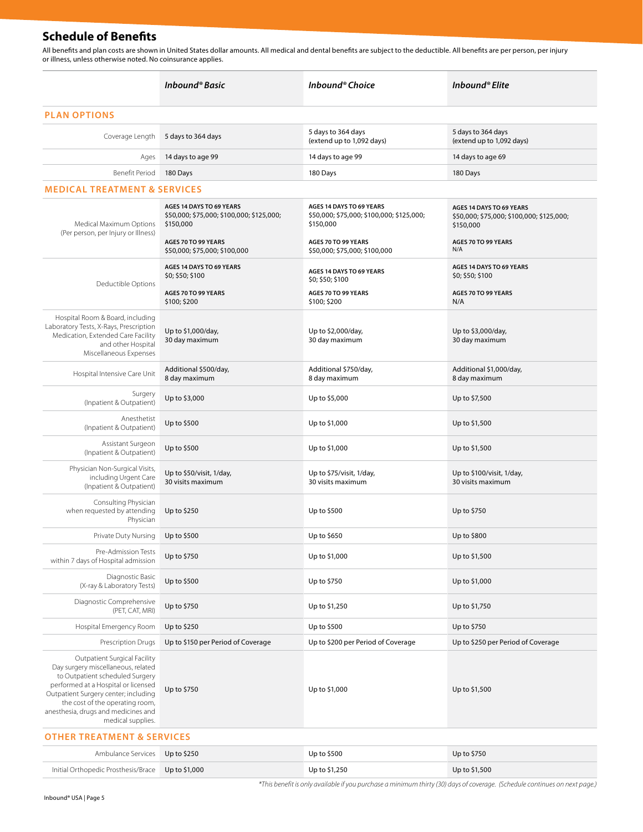# **Schedule of Benefits**

All benefits and plan costs are shown in United States dollar amounts. All medical and dental benefits are subject to the deductible. All benefits are per person, per injury or illness, unless otherwise noted. No coinsurance applies.

|                                                                                                                                                                                                                                                                                     | Inbound® Basic                                                                      | Inbound® Choice                                                                     | Inbound® Elite                                                                     |  |  |  |
|-------------------------------------------------------------------------------------------------------------------------------------------------------------------------------------------------------------------------------------------------------------------------------------|-------------------------------------------------------------------------------------|-------------------------------------------------------------------------------------|------------------------------------------------------------------------------------|--|--|--|
| <b>PLAN OPTIONS</b>                                                                                                                                                                                                                                                                 |                                                                                     |                                                                                     |                                                                                    |  |  |  |
| Coverage Length                                                                                                                                                                                                                                                                     | 5 days to 364 days                                                                  | 5 days to 364 days<br>(extend up to 1,092 days)                                     | 5 days to 364 days<br>(extend up to 1,092 days)                                    |  |  |  |
| Ages                                                                                                                                                                                                                                                                                | 14 days to age 99                                                                   | 14 days to age 99                                                                   | 14 days to age 69                                                                  |  |  |  |
| Benefit Period                                                                                                                                                                                                                                                                      | 180 Days                                                                            | 180 Days                                                                            | 180 Days                                                                           |  |  |  |
| <b>MEDICAL TREATMENT &amp; SERVICES</b>                                                                                                                                                                                                                                             |                                                                                     |                                                                                     |                                                                                    |  |  |  |
| Medical Maximum Options<br>(Per person, per Injury or Illness)                                                                                                                                                                                                                      | AGES 14 DAYS TO 69 YEARS<br>\$50,000; \$75,000; \$100,000; \$125,000;<br>\$150,000  | AGES 14 DAYS TO 69 YEARS<br>\$50,000; \$75,000; \$100,000; \$125,000;<br>\$150,000  | AGES 14 DAYS TO 69 YEARS<br>\$50,000; \$75,000; \$100,000; \$125,000;<br>\$150,000 |  |  |  |
|                                                                                                                                                                                                                                                                                     | AGES 70 TO 99 YEARS<br>\$50,000; \$75,000; \$100,000                                | AGES 70 TO 99 YEARS<br>\$50,000; \$75,000; \$100,000                                | AGES 70 TO 99 YEARS<br>N/A                                                         |  |  |  |
| Deductible Options                                                                                                                                                                                                                                                                  | AGES 14 DAYS TO 69 YEARS<br>\$0; \$50; \$100<br>AGES 70 TO 99 YEARS<br>\$100; \$200 | AGES 14 DAYS TO 69 YEARS<br>\$0; \$50; \$100<br>AGES 70 TO 99 YEARS<br>\$100; \$200 | AGES 14 DAYS TO 69 YEARS<br>\$0; \$50; \$100<br>AGES 70 TO 99 YEARS<br>N/A         |  |  |  |
| Hospital Room & Board, including<br>Laboratory Tests, X-Rays, Prescription<br>Medication, Extended Care Facility<br>and other Hospital<br>Miscellaneous Expenses                                                                                                                    | Up to \$1,000/day,<br>30 day maximum                                                | Up to \$2,000/day,<br>30 day maximum                                                | Up to \$3,000/day,<br>30 day maximum                                               |  |  |  |
| Hospital Intensive Care Unit                                                                                                                                                                                                                                                        | Additional \$500/day,<br>8 day maximum                                              | Additional \$750/day,<br>8 day maximum                                              | Additional \$1,000/day,<br>8 day maximum                                           |  |  |  |
| Surgery<br>(Inpatient & Outpatient)                                                                                                                                                                                                                                                 | Up to \$3,000                                                                       | Up to \$5,000                                                                       | Up to \$7,500                                                                      |  |  |  |
| Anesthetist<br>(Inpatient & Outpatient)                                                                                                                                                                                                                                             | Up to \$500                                                                         | Up to \$1,000                                                                       | Up to \$1,500                                                                      |  |  |  |
| Assistant Surgeon<br>(Inpatient & Outpatient)                                                                                                                                                                                                                                       | Up to \$500                                                                         | Up to \$1,000                                                                       | Up to \$1,500                                                                      |  |  |  |
| Physician Non-Surgical Visits,<br>including Urgent Care<br>(Inpatient & Outpatient)                                                                                                                                                                                                 | Up to \$50/visit, 1/day,<br>30 visits maximum                                       | Up to \$75/visit, 1/day,<br>30 visits maximum                                       | Up to \$100/visit, 1/day,<br>30 visits maximum                                     |  |  |  |
| Consulting Physician<br>when requested by attending<br>Physician                                                                                                                                                                                                                    | Up to \$250                                                                         | Up to \$500                                                                         | Up to \$750                                                                        |  |  |  |
| Private Duty Nursing                                                                                                                                                                                                                                                                | Up to \$500                                                                         | Up to \$650                                                                         | Up to \$800                                                                        |  |  |  |
| Pre-Admission Tests<br>within 7 days of Hospital admission                                                                                                                                                                                                                          | Up to \$750                                                                         | Up to \$1,000                                                                       | Up to \$1,500                                                                      |  |  |  |
| Diagnostic Basic<br>(X-ray & Laboratory Tests)                                                                                                                                                                                                                                      | Up to \$500                                                                         | Up to \$750                                                                         | Up to \$1,000                                                                      |  |  |  |
| Diagnostic Comprehensive<br>(PET, CAT, MRI)                                                                                                                                                                                                                                         | Up to \$750                                                                         | Up to \$1,250                                                                       | Up to \$1,750                                                                      |  |  |  |
| Hospital Emergency Room                                                                                                                                                                                                                                                             | Up to \$250                                                                         | Up to \$500                                                                         | Up to \$750                                                                        |  |  |  |
| Prescription Drugs                                                                                                                                                                                                                                                                  | Up to \$150 per Period of Coverage                                                  | Up to \$200 per Period of Coverage                                                  | Up to \$250 per Period of Coverage                                                 |  |  |  |
| Outpatient Surgical Facility<br>Day surgery miscellaneous, related<br>to Outpatient scheduled Surgery<br>performed at a Hospital or licensed<br>Outpatient Surgery center; including<br>the cost of the operating room,<br>anesthesia, drugs and medicines and<br>medical supplies. | Up to \$750                                                                         | Up to \$1,000                                                                       | Up to \$1,500                                                                      |  |  |  |

#### **OTHER TREATMENT & SERVICES**

| Ambulance Services Up to \$250                    | Up to $$500$  | Up to \$750   |
|---------------------------------------------------|---------------|---------------|
| Initial Orthopedic Prosthesis/Brace Up to \$1,000 | Up to \$1,250 | Up to \$1,500 |

*\*This benefit is only available if you purchase a minimum thirty (30) days of coverage. (Schedule continues on next page.)*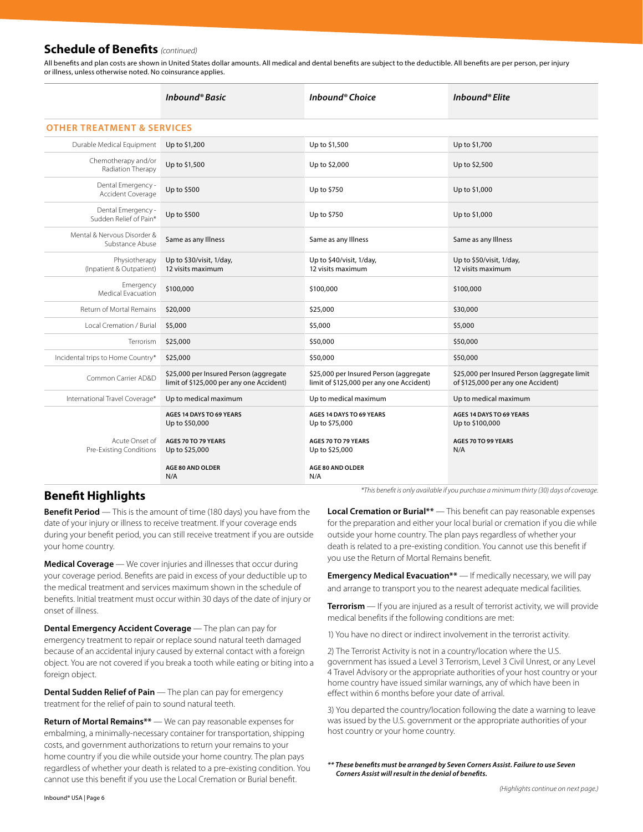# **Schedule of Benefits** *(continued)*

All benefits and plan costs are shown in United States dollar amounts. All medical and dental benefits are subject to the deductible. All benefits are per person, per injury or illness, unless otherwise noted. No coinsurance applies.

|                                                | Inbound® Basic                                                                     | Inbound® Choice                                                                    | Inbound® Elite                                                                     |  |  |  |
|------------------------------------------------|------------------------------------------------------------------------------------|------------------------------------------------------------------------------------|------------------------------------------------------------------------------------|--|--|--|
| <b>OTHER TREATMENT &amp; SERVICES</b>          |                                                                                    |                                                                                    |                                                                                    |  |  |  |
| Durable Medical Equipment                      | Up to \$1,200                                                                      | Up to \$1,500                                                                      | Up to \$1,700                                                                      |  |  |  |
| Chemotherapy and/or<br>Radiation Therapy       | Up to \$1,500                                                                      | Up to \$2,000                                                                      | Up to \$2,500                                                                      |  |  |  |
| Dental Emergency -<br>Accident Coverage        | Up to \$500                                                                        | Up to \$750                                                                        | Up to \$1,000                                                                      |  |  |  |
| Dental Emergency -<br>Sudden Relief of Pain*   | Up to \$500                                                                        | Up to \$750                                                                        | Up to \$1,000                                                                      |  |  |  |
| Mental & Nervous Disorder &<br>Substance Abuse | Same as any Illness                                                                | Same as any Illness                                                                | Same as any Illness                                                                |  |  |  |
| Physiotherapy<br>(Inpatient & Outpatient)      | Up to \$30/visit, 1/day,<br>12 visits maximum                                      | Up to \$40/visit, 1/day,<br>12 visits maximum                                      | Up to \$50/visit, 1/day,<br>12 visits maximum                                      |  |  |  |
| Emergency<br>Medical Evacuation                | \$100,000                                                                          | \$100,000                                                                          | \$100,000                                                                          |  |  |  |
| Return of Mortal Remains                       | \$20,000                                                                           | \$25,000                                                                           | \$30,000                                                                           |  |  |  |
| Local Cremation / Burial                       | \$5,000                                                                            | \$5,000                                                                            | \$5,000                                                                            |  |  |  |
| Terrorism                                      | \$25,000                                                                           | \$50,000                                                                           | \$50,000                                                                           |  |  |  |
| Incidental trips to Home Country*              | \$25,000                                                                           | \$50,000                                                                           | \$50,000                                                                           |  |  |  |
| Common Carrier AD&D                            | \$25,000 per Insured Person (aggregate<br>limit of \$125,000 per any one Accident) | \$25,000 per Insured Person (aggregate<br>limit of \$125,000 per any one Accident) | \$25,000 per Insured Person (aggregate limit<br>of \$125,000 per any one Accident) |  |  |  |
| International Travel Coverage*                 | Up to medical maximum                                                              | Up to medical maximum                                                              | Up to medical maximum                                                              |  |  |  |
|                                                | AGES 14 DAYS TO 69 YEARS<br>Up to \$50,000                                         | AGES 14 DAYS TO 69 YEARS<br>Up to \$75,000                                         | AGES 14 DAYS TO 69 YEARS<br>Up to \$100,000                                        |  |  |  |
| Acute Onset of<br>Pre-Existing Conditions      | AGES 70 TO 79 YEARS<br>Up to \$25,000                                              | AGES 70 TO 79 YEARS<br>Up to \$25,000                                              | AGES 70 TO 99 YEARS<br>N/A                                                         |  |  |  |
|                                                | <b>AGE 80 AND OLDER</b><br>N/A                                                     | <b>AGE 80 AND OLDER</b><br>N/A                                                     |                                                                                    |  |  |  |

**Benefit Period** — This is the amount of time (180 days) you have from the date of your injury or illness to receive treatment. If your coverage ends during your benefit period, you can still receive treatment if you are outside your home country.

**Medical Coverage** — We cover injuries and illnesses that occur during your coverage period. Benefits are paid in excess of your deductible up to the medical treatment and services maximum shown in the schedule of benefits. Initial treatment must occur within 30 days of the date of injury or onset of illness.

**Dental Emergency Accident Coverage** — The plan can pay for emergency treatment to repair or replace sound natural teeth damaged because of an accidental injury caused by external contact with a foreign object. You are not covered if you break a tooth while eating or biting into a foreign object.

**Dental Sudden Relief of Pain** — The plan can pay for emergency treatment for the relief of pain to sound natural teeth.

**Return of Mortal Remains\*\*** — We can pay reasonable expenses for embalming, a minimally-necessary container for transportation, shipping costs, and government authorizations to return your remains to your home country if you die while outside your home country. The plan pays regardless of whether your death is related to a pre-existing condition. You cannot use this benefit if you use the Local Cremation or Burial benefit.

*\*This benefit is only available if you purchase a minimum thirty (30) days of coverage.* **Benefit Highlights**

**Local Cremation or Burial\*\*** — This benefit can pay reasonable expenses for the preparation and either your local burial or cremation if you die while outside your home country. The plan pays regardless of whether your death is related to a pre-existing condition. You cannot use this benefit if you use the Return of Mortal Remains benefit.

**Emergency Medical Evacuation\*\*** — If medically necessary, we will pay and arrange to transport you to the nearest adequate medical facilities.

**Terrorism** — If you are injured as a result of terrorist activity, we will provide medical benefits if the following conditions are met:

1) You have no direct or indirect involvement in the terrorist activity.

2) The Terrorist Activity is not in a country/location where the U.S. government has issued a Level 3 Terrorism, Level 3 Civil Unrest, or any Level 4 Travel Advisory or the appropriate authorities of your host country or your home country have issued similar warnings, any of which have been in effect within 6 months before your date of arrival.

3) You departed the country/location following the date a warning to leave was issued by the U.S. government or the appropriate authorities of your host country or your home country.

*\*\* These benefits must be arranged by Seven Corners Assist. Failure to use Seven Corners Assist will result in the denial of benefits.*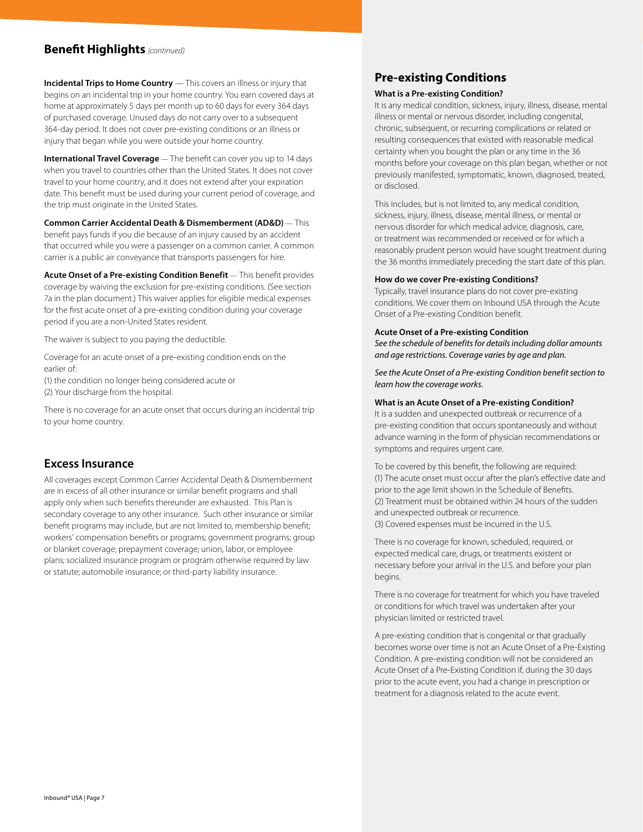# **Benefit Highlights** *(continued)*

**Incidental Trips to Home Country** — This covers an illness or injury that begins on an incidental trip in your home country. You earn covered days at home at approximately 5 days per month up to 60 days for every 364 days of purchased coverage. Unused days do not carry over to a subsequent 364-day period. It does not cover pre-existing conditions or an illness or injury that began while you were outside your home country.

**International Travel Coverage** — The benefit can cover you up to 14 days when you travel to countries other than the United States. It does not cover travel to your home country, and it does not extend after your expiration date. This benefit must be used during your current period of coverage, and the trip must originate in the United States.

**Common Carrier Accidental Death & Dismemberment (AD&D)** — This benefit pays funds if you die because of an injury caused by an accident that occurred while you were a passenger on a common carrier. A common carrier is a public air conveyance that transports passengers for hire.

**Acute Onset of a Pre-existing Condition Benefit** — This benefit provides coverage by waiving the exclusion for pre-existing conditions. (See section 7a in the plan document.) This waiver applies for eligible medical expenses for the first acute onset of a pre-existing condition during your coverage period if you are a non-United States resident.

The waiver is subject to you paying the deductible.

Coverage for an acute onset of a pre-existing condition ends on the earlier of:

(1) the condition no longer being considered acute or

(2) Your discharge from the hospital.

There is no coverage for an acute onset that occurs during an incidental trip to your home country.

## **Excess Insurance**

All coverages except Common Carrier Accidental Death & Dismemberment are in excess of all other insurance or similar benefit programs and shall apply only when such benefits thereunder are exhausted. This Plan is secondary coverage to any other insurance. Such other insurance or similar benefit programs may include, but are not limited to, membership benefit; workers' compensation benefits or programs; government programs; group or blanket coverage; prepayment coverage; union, labor, or employee plans; socialized insurance program or program otherwise required by law or statute; automobile insurance; or third-party liability insurance.

# **Pre-existing Conditions**

#### **What is a Pre-existing Condition?**

It is any medical condition, sickness, injury, illness, disease, mental illness or mental or nervous disorder, including congenital, chronic, subsequent, or recurring complications or related or resulting consequences that existed with reasonable medical certainty when you bought the plan or any time in the 36 months before your coverage on this plan began, whether or not previously manifested, symptomatic, known, diagnosed, treated, or disclosed.

This includes, but is not limited to, any medical condition, sickness, injury, illness, disease, mental illness, or mental or nervous disorder for which medical advice, diagnosis, care, or treatment was recommended or received or for which a reasonably prudent person would have sought treatment during the 36 months immediately preceding the start date of this plan.

#### **How do we cover Pre-existing Conditions?**

Typically, travel insurance plans do not cover pre-existing conditions. We cover them on Inbound USA through the Acute Onset of a Pre-existing Condition benefit.

#### **Acute Onset of a Pre-existing Condition**

*See the schedule of benefits for details including dollar amounts and age restrictions. Coverage varies by age and plan.* 

*See the Acute Onset of a Pre-existing Condition benefit section to learn how the coverage works.*

#### **What is an Acute Onset of a Pre-existing Condition?**

It is a sudden and unexpected outbreak or recurrence of a pre-existing condition that occurs spontaneously and without advance warning in the form of physician recommendations or symptoms and requires urgent care.

To be covered by this benefit, the following are required: (1) The acute onset must occur after the plan's effective date and prior to the age limit shown in the Schedule of Benefits. (2) Treatment must be obtained within 24 hours of the sudden and unexpected outbreak or recurrence. (3) Covered expenses must be incurred in the U.S.

There is no coverage for known, scheduled, required, or expected medical care, drugs, or treatments existent or necessary before your arrival in the U.S. and before your plan begins.

There is no coverage for treatment for which you have traveled or conditions for which travel was undertaken after your physician limited or restricted travel.

A pre-existing condition that is congenital or that gradually becomes worse over time is not an Acute Onset of a Pre-Existing Condition. A pre-existing condition will not be considered an Acute Onset of a Pre-Existing Condition if, during the 30 days prior to the acute event, you had a change in prescription or treatment for a diagnosis related to the acute event.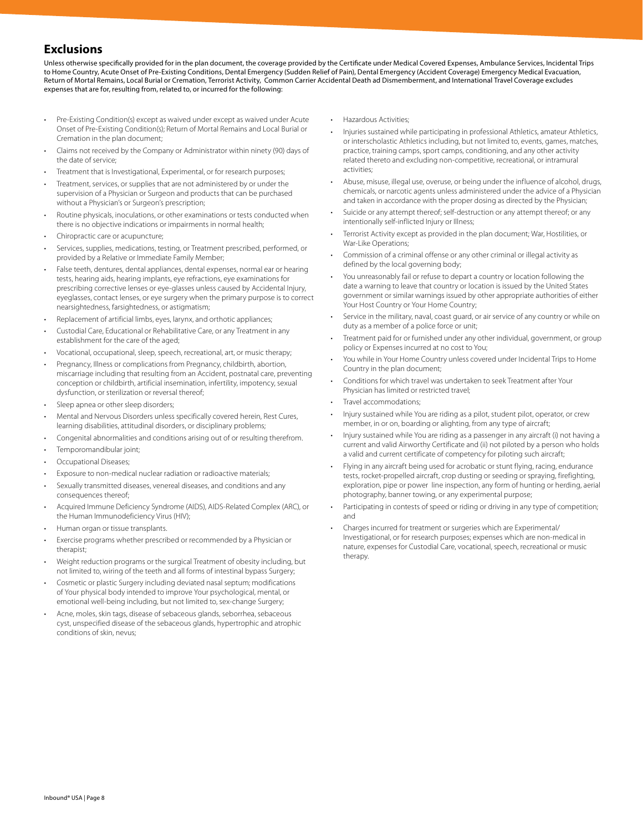# **Exclusions**

Unless otherwise specifically provided for in the plan document, the coverage provided by the Certificate under Medical Covered Expenses, Ambulance Services, Incidental Trips to Home Country, Acute Onset of Pre-Existing Conditions, Dental Emergency (Sudden Relief of Pain), Dental Emergency (Accident Coverage) Emergency Medical Evacuation, Return of Mortal Remains, Local Burial or Cremation, Terrorist Activity, Common Carrier Accidental Death ad Dismemberment, and International Travel Coverage excludes expenses that are for, resulting from, related to, or incurred for the following:

- Pre-Existing Condition(s) except as waived under except as waived under Acute Onset of Pre-Existing Condition(s); Return of Mortal Remains and Local Burial or Cremation in the plan document;
- Claims not received by the Company or Administrator within ninety (90) days of the date of service;
- Treatment that is Investigational, Experimental, or for research purposes;
- Treatment, services, or supplies that are not administered by or under the supervision of a Physician or Surgeon and products that can be purchased without a Physician's or Surgeon's prescription;
- Routine physicals, inoculations, or other examinations or tests conducted when there is no objective indications or impairments in normal health;
- Chiropractic care or acupuncture;
- Services, supplies, medications, testing, or Treatment prescribed, performed, or provided by a Relative or Immediate Family Member;
- False teeth, dentures, dental appliances, dental expenses, normal ear or hearing tests, hearing aids, hearing implants, eye refractions, eye examinations for prescribing corrective lenses or eye-glasses unless caused by Accidental Injury, eyeglasses, contact lenses, or eye surgery when the primary purpose is to correct nearsightedness, farsightedness, or astigmatism;
- Replacement of artificial limbs, eyes, larynx, and orthotic appliances;
- Custodial Care, Educational or Rehabilitative Care, or any Treatment in any establishment for the care of the aged;
- Vocational, occupational, sleep, speech, recreational, art, or music therapy;
- Pregnancy, Illness or complications from Pregnancy, childbirth, abortion, miscarriage including that resulting from an Accident, postnatal care, preventing conception or childbirth, artificial insemination, infertility, impotency, sexual dysfunction, or sterilization or reversal thereof;
- Sleep apnea or other sleep disorders;
- Mental and Nervous Disorders unless specifically covered herein, Rest Cures, learning disabilities, attitudinal disorders, or disciplinary problems;
- Congenital abnormalities and conditions arising out of or resulting therefrom.
- Temporomandibular joint;
- Occupational Diseases;
- Exposure to non-medical nuclear radiation or radioactive materials;
- Sexually transmitted diseases, venereal diseases, and conditions and any consequences thereof;
- Acquired Immune Deficiency Syndrome (AIDS), AIDS-Related Complex (ARC), or the Human Immunodeficiency Virus (HIV);
- Human organ or tissue transplants.
- Exercise programs whether prescribed or recommended by a Physician or therapist;
- Weight reduction programs or the surgical Treatment of obesity including, but not limited to, wiring of the teeth and all forms of intestinal bypass Surgery;
- Cosmetic or plastic Surgery including deviated nasal septum; modifications of Your physical body intended to improve Your psychological, mental, or emotional well-being including, but not limited to, sex-change Surgery;
- Acne, moles, skin tags, disease of sebaceous glands, seborrhea, sebaceous cyst, unspecified disease of the sebaceous glands, hypertrophic and atrophic conditions of skin, nevus;
- Hazardous Activities;
- Injuries sustained while participating in professional Athletics, amateur Athletics, or interscholastic Athletics including, but not limited to, events, games, matches, practice, training camps, sport camps, conditioning, and any other activity related thereto and excluding non-competitive, recreational, or intramural activities;
- Abuse, misuse, illegal use, overuse, or being under the influence of alcohol, drugs, chemicals, or narcotic agents unless administered under the advice of a Physician and taken in accordance with the proper dosing as directed by the Physician;
- Suicide or any attempt thereof; self-destruction or any attempt thereof; or any intentionally self-inflicted Injury or Illness;
- Terrorist Activity except as provided in the plan document; War, Hostilities, or War-Like Operations;
- Commission of a criminal offense or any other criminal or illegal activity as defined by the local governing body;
- You unreasonably fail or refuse to depart a country or location following the date a warning to leave that country or location is issued by the United States government or similar warnings issued by other appropriate authorities of either Your Host Country or Your Home Country;
- Service in the military, naval, coast guard, or air service of any country or while on duty as a member of a police force or unit;
- Treatment paid for or furnished under any other individual, government, or group policy or Expenses incurred at no cost to You;
- You while in Your Home Country unless covered under Incidental Trips to Home Country in the plan document;
- Conditions for which travel was undertaken to seek Treatment after Your Physician has limited or restricted travel;
- Travel accommodations;
- Injury sustained while You are riding as a pilot, student pilot, operator, or crew member, in or on, boarding or alighting, from any type of aircraft;
- Injury sustained while You are riding as a passenger in any aircraft (i) not having a current and valid Airworthy Certificate and (ii) not piloted by a person who holds a valid and current certificate of competency for piloting such aircraft;
- Flying in any aircraft being used for acrobatic or stunt flying, racing, endurance tests, rocket-propelled aircraft, crop dusting or seeding or spraying, firefighting, exploration, pipe or power line inspection, any form of hunting or herding, aerial photography, banner towing, or any experimental purpose;
- Participating in contests of speed or riding or driving in any type of competition; and
- Charges incurred for treatment or surgeries which are Experimental/ Investigational, or for research purposes; expenses which are non-medical in nature, expenses for Custodial Care, vocational, speech, recreational or music therapy.